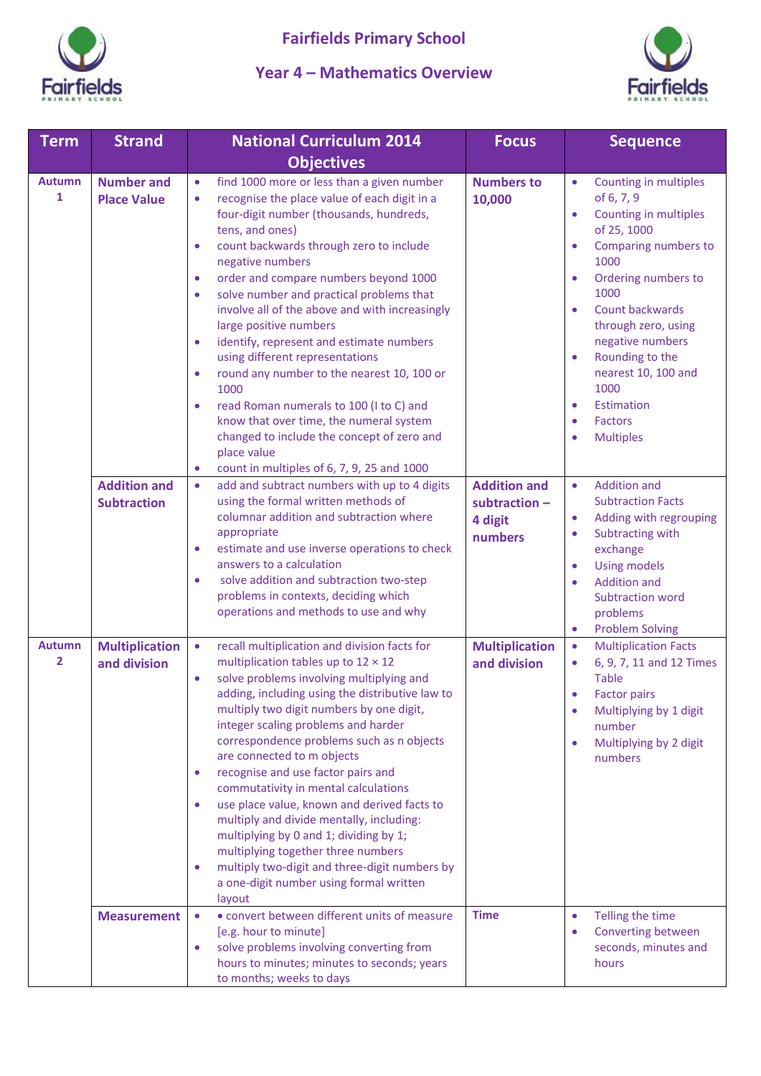

## **Year 4 – Mathematics Overview**



| <b>Term</b>                   | <b>Strand</b>                             | <b>National Curriculum 2014</b>                                                                                                                                                                                                                                                                                                                                                                                                                                                                                                                                                                                                                                                                                                                                                                                                                     | <b>Focus</b>                                               | <b>Sequence</b>                                                                                                                                                                                                                                                                                                                                                                                                                            |
|-------------------------------|-------------------------------------------|-----------------------------------------------------------------------------------------------------------------------------------------------------------------------------------------------------------------------------------------------------------------------------------------------------------------------------------------------------------------------------------------------------------------------------------------------------------------------------------------------------------------------------------------------------------------------------------------------------------------------------------------------------------------------------------------------------------------------------------------------------------------------------------------------------------------------------------------------------|------------------------------------------------------------|--------------------------------------------------------------------------------------------------------------------------------------------------------------------------------------------------------------------------------------------------------------------------------------------------------------------------------------------------------------------------------------------------------------------------------------------|
|                               |                                           | <b>Objectives</b>                                                                                                                                                                                                                                                                                                                                                                                                                                                                                                                                                                                                                                                                                                                                                                                                                                   |                                                            |                                                                                                                                                                                                                                                                                                                                                                                                                                            |
| <b>Autumn</b><br>$\mathbf{1}$ | <b>Number and</b><br><b>Place Value</b>   | find 1000 more or less than a given number<br>$\bullet$<br>recognise the place value of each digit in a<br>$\bullet$<br>four-digit number (thousands, hundreds,<br>tens, and ones)<br>count backwards through zero to include<br>$\bullet$<br>negative numbers<br>order and compare numbers beyond 1000<br>$\bullet$<br>solve number and practical problems that<br>$\bullet$<br>involve all of the above and with increasingly<br>large positive numbers<br>identify, represent and estimate numbers<br>$\bullet$<br>using different representations<br>round any number to the nearest 10, 100 or<br>$\bullet$<br>1000<br>read Roman numerals to 100 (I to C) and<br>$\bullet$<br>know that over time, the numeral system<br>changed to include the concept of zero and<br>place value<br>count in multiples of 6, 7, 9, 25 and 1000<br>$\bullet$ | <b>Numbers to</b><br>10,000                                | Counting in multiples<br>$\bullet$<br>of 6, 7, 9<br>Counting in multiples<br>$\bullet$<br>of 25, 1000<br>Comparing numbers to<br>$\bullet$<br>1000<br>Ordering numbers to<br>$\bullet$<br>1000<br>Count backwards<br>$\bullet$<br>through zero, using<br>negative numbers<br>Rounding to the<br>$\bullet$<br>nearest 10, 100 and<br>1000<br><b>Estimation</b><br>$\bullet$<br><b>Factors</b><br>$\bullet$<br><b>Multiples</b><br>$\bullet$ |
|                               | <b>Addition and</b><br><b>Subtraction</b> | add and subtract numbers with up to 4 digits<br>$\bullet$<br>using the formal written methods of<br>columnar addition and subtraction where<br>appropriate<br>estimate and use inverse operations to check<br>$\bullet$<br>answers to a calculation<br>solve addition and subtraction two-step<br>$\bullet$<br>problems in contexts, deciding which<br>operations and methods to use and why                                                                                                                                                                                                                                                                                                                                                                                                                                                        | <b>Addition and</b><br>subtraction -<br>4 digit<br>numbers | <b>Addition and</b><br>$\bullet$<br><b>Subtraction Facts</b><br>Adding with regrouping<br>$\bullet$<br>Subtracting with<br>$\bullet$<br>exchange<br><b>Using models</b><br>$\bullet$<br><b>Addition and</b><br>$\bullet$<br><b>Subtraction word</b><br>problems<br><b>Problem Solving</b><br>$\bullet$                                                                                                                                     |
| <b>Autumn</b><br>2            | <b>Multiplication</b><br>and division     | recall multiplication and division facts for<br>$\bullet$<br>multiplication tables up to $12 \times 12$<br>solve problems involving multiplying and<br>$\bullet$<br>adding, including using the distributive law to<br>multiply two digit numbers by one digit,<br>integer scaling problems and harder<br>correspondence problems such as n objects<br>are connected to m objects<br>recognise and use factor pairs and<br>$\bullet$<br>commutativity in mental calculations<br>use place value, known and derived facts to<br>$\bullet$<br>multiply and divide mentally, including:<br>multiplying by 0 and 1; dividing by 1;<br>multiplying together three numbers<br>multiply two-digit and three-digit numbers by<br>$\bullet$<br>a one-digit number using formal written<br>layout                                                             | <b>Multiplication</b><br>and division                      | <b>Multiplication Facts</b><br>$\bullet$<br>6, 9, 7, 11 and 12 Times<br>$\bullet$<br><b>Table</b><br><b>Factor pairs</b><br>$\bullet$<br>Multiplying by 1 digit<br>number<br>Multiplying by 2 digit<br>$\bullet$<br>numbers                                                                                                                                                                                                                |
|                               | <b>Measurement</b>                        | • convert between different units of measure<br>$\bullet$<br>[e.g. hour to minute]<br>solve problems involving converting from<br>$\bullet$<br>hours to minutes; minutes to seconds; years<br>to months; weeks to days                                                                                                                                                                                                                                                                                                                                                                                                                                                                                                                                                                                                                              | <b>Time</b>                                                | Telling the time<br>$\bullet$<br>Converting between<br>$\bullet$<br>seconds, minutes and<br>hours                                                                                                                                                                                                                                                                                                                                          |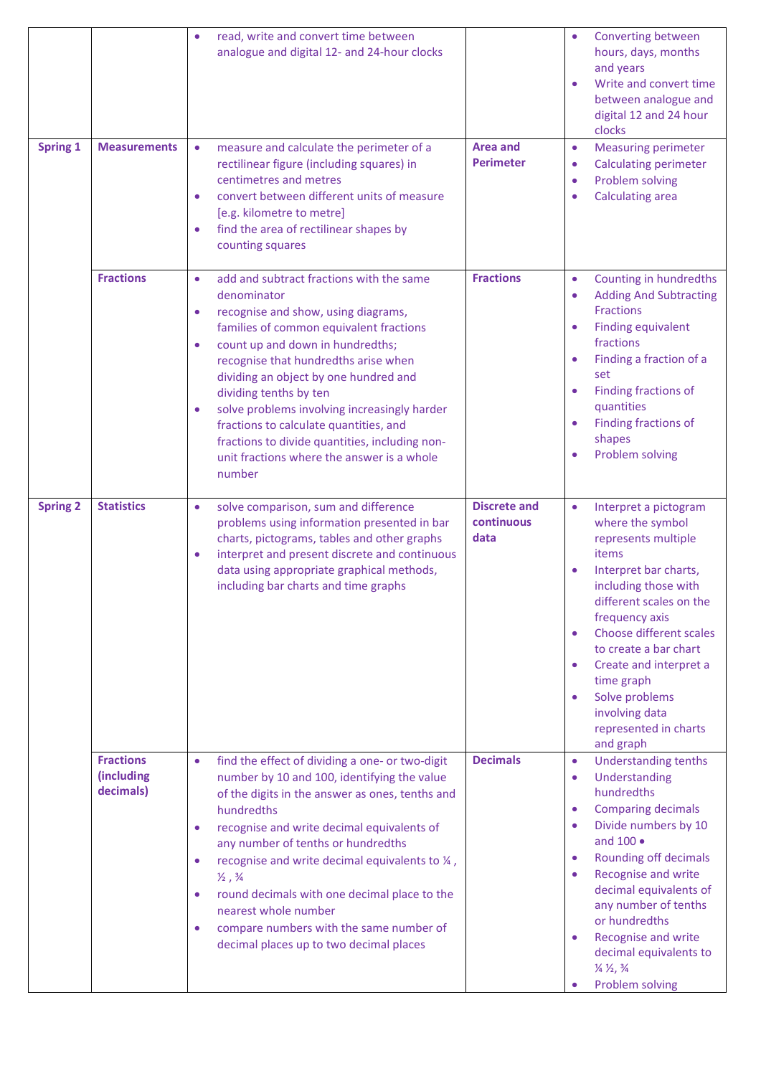|                 |                                             | read, write and convert time between<br>analogue and digital 12- and 24-hour clocks                                                                                                                                                                                                                                                                                                                                                                                                                                                    |                                           | Converting between<br>$\bullet$<br>hours, days, months<br>and years<br>Write and convert time<br>$\bullet$<br>between analogue and<br>digital 12 and 24 hour<br>clocks                                                                                                                                                                                                                                                                                                             |
|-----------------|---------------------------------------------|----------------------------------------------------------------------------------------------------------------------------------------------------------------------------------------------------------------------------------------------------------------------------------------------------------------------------------------------------------------------------------------------------------------------------------------------------------------------------------------------------------------------------------------|-------------------------------------------|------------------------------------------------------------------------------------------------------------------------------------------------------------------------------------------------------------------------------------------------------------------------------------------------------------------------------------------------------------------------------------------------------------------------------------------------------------------------------------|
| <b>Spring 1</b> | <b>Measurements</b>                         | measure and calculate the perimeter of a<br>$\bullet$<br>rectilinear figure (including squares) in<br>centimetres and metres<br>convert between different units of measure<br>$\bullet$<br>[e.g. kilometre to metre]<br>find the area of rectilinear shapes by<br>۰<br>counting squares                                                                                                                                                                                                                                                | <b>Area and</b><br><b>Perimeter</b>       | <b>Measuring perimeter</b><br>$\bullet$<br><b>Calculating perimeter</b><br>$\bullet$<br>Problem solving<br>$\bullet$<br><b>Calculating area</b><br>$\bullet$                                                                                                                                                                                                                                                                                                                       |
|                 | <b>Fractions</b>                            | add and subtract fractions with the same<br>$\bullet$<br>denominator<br>recognise and show, using diagrams,<br>$\bullet$<br>families of common equivalent fractions<br>count up and down in hundredths;<br>۰<br>recognise that hundredths arise when<br>dividing an object by one hundred and<br>dividing tenths by ten<br>solve problems involving increasingly harder<br>۰<br>fractions to calculate quantities, and<br>fractions to divide quantities, including non-<br>unit fractions where the answer is a whole<br>number       | <b>Fractions</b>                          | Counting in hundredths<br>$\bullet$<br><b>Adding And Subtracting</b><br>$\bullet$<br><b>Fractions</b><br><b>Finding equivalent</b><br>$\bullet$<br>fractions<br>Finding a fraction of a<br>$\bullet$<br>set<br>Finding fractions of<br>$\bullet$<br>quantities<br>Finding fractions of<br>$\bullet$<br>shapes<br>Problem solving<br>$\bullet$                                                                                                                                      |
| <b>Spring 2</b> | <b>Statistics</b>                           | solve comparison, sum and difference<br>۰<br>problems using information presented in bar<br>charts, pictograms, tables and other graphs<br>interpret and present discrete and continuous<br>۰<br>data using appropriate graphical methods,<br>including bar charts and time graphs                                                                                                                                                                                                                                                     | <b>Discrete and</b><br>continuous<br>data | Interpret a pictogram<br>$\bullet$<br>where the symbol<br>represents multiple<br>items<br>Interpret bar charts,<br>$\bullet$<br>including those with<br>different scales on the<br>frequency axis<br>Choose different scales<br>$\bullet$<br>to create a bar chart<br>Create and interpret a<br>$\bullet$<br>time graph<br>Solve problems<br>$\bullet$<br>involving data<br>represented in charts<br>and graph                                                                     |
|                 | <b>Fractions</b><br>(including<br>decimals) | find the effect of dividing a one- or two-digit<br>$\bullet$<br>number by 10 and 100, identifying the value<br>of the digits in the answer as ones, tenths and<br>hundredths<br>recognise and write decimal equivalents of<br>۰<br>any number of tenths or hundredths<br>recognise and write decimal equivalents to 1/4,<br>۰<br>$\frac{1}{2}$ , $\frac{3}{4}$<br>round decimals with one decimal place to the<br>۰<br>nearest whole number<br>compare numbers with the same number of<br>۰<br>decimal places up to two decimal places | <b>Decimals</b>                           | <b>Understanding tenths</b><br>$\bullet$<br>Understanding<br>$\bullet$<br>hundredths<br><b>Comparing decimals</b><br>$\bullet$<br>Divide numbers by 10<br>$\bullet$<br>and 100 ·<br><b>Rounding off decimals</b><br>$\bullet$<br><b>Recognise and write</b><br>$\bullet$<br>decimal equivalents of<br>any number of tenths<br>or hundredths<br>Recognise and write<br>$\bullet$<br>decimal equivalents to<br>$\frac{1}{4} \frac{1}{2} \frac{3}{4}$<br>Problem solving<br>$\bullet$ |